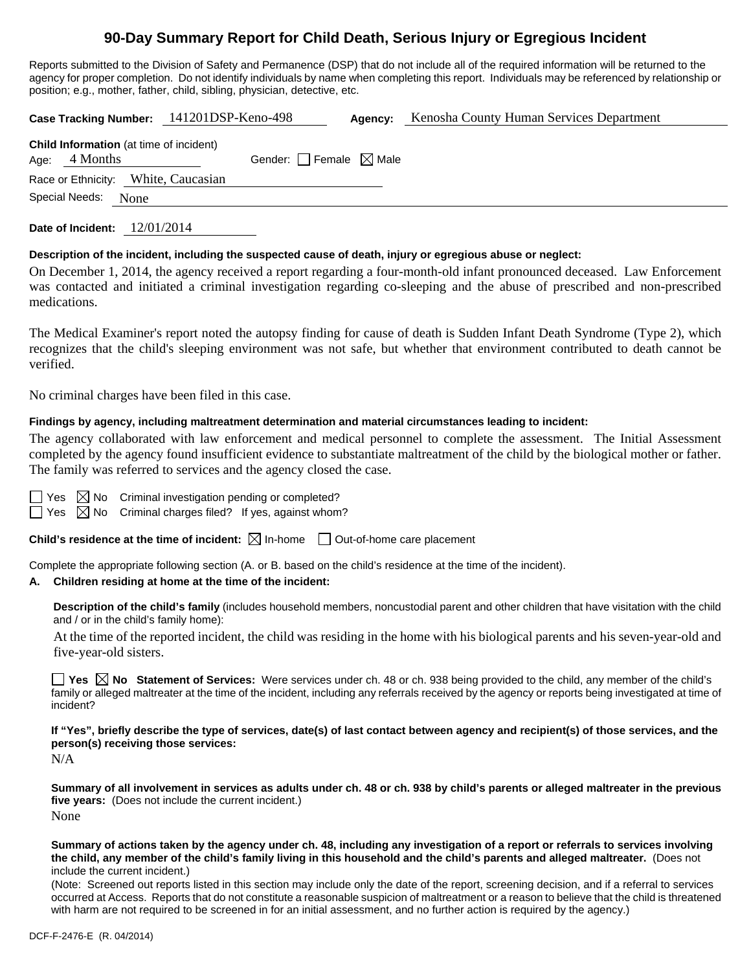## **90-Day Summary Report for Child Death, Serious Injury or Egregious Incident**

Reports submitted to the Division of Safety and Permanence (DSP) that do not include all of the required information will be returned to the agency for proper completion. Do not identify individuals by name when completing this report. Individuals may be referenced by relationship or position; e.g., mother, father, child, sibling, physician, detective, etc.

**Case Tracking Number:** 141201DSP-Keno-498 **Agency:** Kenosha County Human Services Department

| <b>Child Information</b> (at time of incident) |                                 |
|------------------------------------------------|---------------------------------|
| Age: 4 Months                                  | Gender: Female $\boxtimes$ Male |
| Race or Ethnicity: White, Caucasian            |                                 |
| Special Needs: None                            |                                 |
|                                                |                                 |

**Date of Incident:** 12/01/2014

### **Description of the incident, including the suspected cause of death, injury or egregious abuse or neglect:**

On December 1, 2014, the agency received a report regarding a four-month-old infant pronounced deceased. Law Enforcement was contacted and initiated a criminal investigation regarding co-sleeping and the abuse of prescribed and non-prescribed medications.

The Medical Examiner's report noted the autopsy finding for cause of death is Sudden Infant Death Syndrome (Type 2), which recognizes that the child's sleeping environment was not safe, but whether that environment contributed to death cannot be verified.

No criminal charges have been filed in this case.

### **Findings by agency, including maltreatment determination and material circumstances leading to incident:**

The agency collaborated with law enforcement and medical personnel to complete the assessment. The Initial Assessment completed by the agency found insufficient evidence to substantiate maltreatment of the child by the biological mother or father. The family was referred to services and the agency closed the case.

 $\boxtimes$  No Criminal investigation pending or completed?

 $\Box$  Yes  $\boxtimes$  No Criminal charges filed? If yes, against whom?

**Child's residence at the time of incident:** ⊠ In-home □ Out-of-home care placement

Complete the appropriate following section (A. or B. based on the child's residence at the time of the incident).

#### **A. Children residing at home at the time of the incident:**

**Description of the child's family** (includes household members, noncustodial parent and other children that have visitation with the child and / or in the child's family home):

 At the time of the reported incident, the child was residing in the home with his biological parents and his seven-year-old and five-year-old sisters.

**Yes No Statement of Services:** Were services under ch. 48 or ch. 938 being provided to the child, any member of the child's family or alleged maltreater at the time of the incident, including any referrals received by the agency or reports being investigated at time of incident?

**If "Yes", briefly describe the type of services, date(s) of last contact between agency and recipient(s) of those services, and the person(s) receiving those services:** 

N/A

**Summary of all involvement in services as adults under ch. 48 or ch. 938 by child's parents or alleged maltreater in the previous five years:** (Does not include the current incident.) None

**Summary of actions taken by the agency under ch. 48, including any investigation of a report or referrals to services involving the child, any member of the child's family living in this household and the child's parents and alleged maltreater.** (Does not include the current incident.)

(Note: Screened out reports listed in this section may include only the date of the report, screening decision, and if a referral to services occurred at Access. Reports that do not constitute a reasonable suspicion of maltreatment or a reason to believe that the child is threatened with harm are not required to be screened in for an initial assessment, and no further action is required by the agency.)